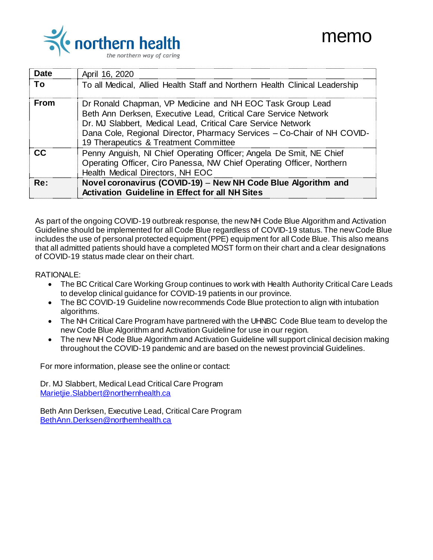

| Date | April 16, 2020                                                                                                                                                                                                                                                                                                   |
|------|------------------------------------------------------------------------------------------------------------------------------------------------------------------------------------------------------------------------------------------------------------------------------------------------------------------|
| Τo   | To all Medical, Allied Health Staff and Northern Health Clinical Leadership                                                                                                                                                                                                                                      |
| From | Dr Ronald Chapman, VP Medicine and NH EOC Task Group Lead<br>Beth Ann Derksen, Executive Lead, Critical Care Service Network<br>Dr. MJ Slabbert, Medical Lead, Critical Care Service Network<br>Dana Cole, Regional Director, Pharmacy Services - Co-Chair of NH COVID-<br>19 Therapeutics & Treatment Committee |
| CC.  | Penny Anguish, NI Chief Operating Officer; Angela De Smit, NE Chief<br>Operating Officer, Ciro Panessa, NW Chief Operating Officer, Northern<br>Health Medical Directors, NH EOC                                                                                                                                 |
| Re:  | Novel coronavirus (COVID-19) - New NH Code Blue Algorithm and<br><b>Activation Guideline in Effect for all NH Sites</b>                                                                                                                                                                                          |

As part of the ongoing COVID-19 outbreak response, the new NH Code Blue Algorithm and Activation Guideline should be implemented for all Code Blue regardless of COVID-19 status. The new Code Blue includes the use of personal protected equipment (PPE) equipment for all Code Blue. This also means that all admitted patients should have a completed MOST form on their chart and a clear designations of COVID-19 status made clear on their chart.

### RATIONALE:

- The BC Critical Care Working Group continues to work with Health Authority Critical Care Leads to develop clinical guidance for COVID-19 patients in our province.
- The BC COVID-19 Guideline now recommends Code Blue protection to align with intubation algorithms.
- The NH Critical Care Program have partnered with the UHNBC Code Blue team to develop the new Code Blue Algorithm and Activation Guideline for use in our region.
- The new NH Code Blue Algorithm and Activation Guideline will support clinical decision making throughout the COVID-19 pandemic and are based on the newest provincial Guidelines.

For more information, please see the online or contact:

Dr. MJ Slabbert, Medical Lead Critical Care Program [Marietjie.Slabbert@northernhealth.ca](mailto:Marietjie.Slabbert@northernhealth.ca)

Beth Ann Derksen, Executive Lead, Critical Care Program [BethAnn.Derksen@northernhealth.ca](mailto:BethAnn.Derksen@northernhealth.ca)